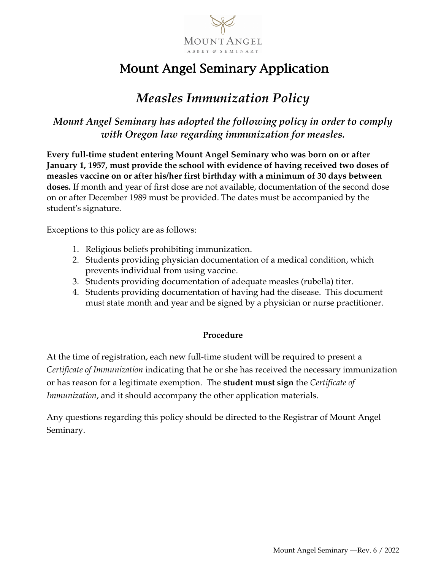

# Mount Angel Seminary Application

### *Measles Immunization Policy*

*Mount Angel Seminary has adopted the following policy in order to comply with Oregon law regarding immunization for measles.*

**Every full-time student entering Mount Angel Seminary who was born on or after January 1, 1957, must provide the school with evidence of having received two doses of measles vaccine on or after his/her first birthday with a minimum of 30 days between doses.** If month and year of first dose are not available, documentation of the second dose on or after December 1989 must be provided. The dates must be accompanied by the student's signature.

Exceptions to this policy are as follows:

- 1. Religious beliefs prohibiting immunization.
- 2. Students providing physician documentation of a medical condition, which prevents individual from using vaccine.
- 3. Students providing documentation of adequate measles (rubella) titer.
- 4. Students providing documentation of having had the disease. This document must state month and year and be signed by a physician or nurse practitioner.

#### **Procedure**

At the time of registration, each new full-time student will be required to present a *Certificate of Immunization* indicating that he or she has received the necessary immunization or has reason for a legitimate exemption. The **student must sign** the *Certificate of Immunization*, and it should accompany the other application materials.

Any questions regarding this policy should be directed to the Registrar of Mount Angel Seminary.